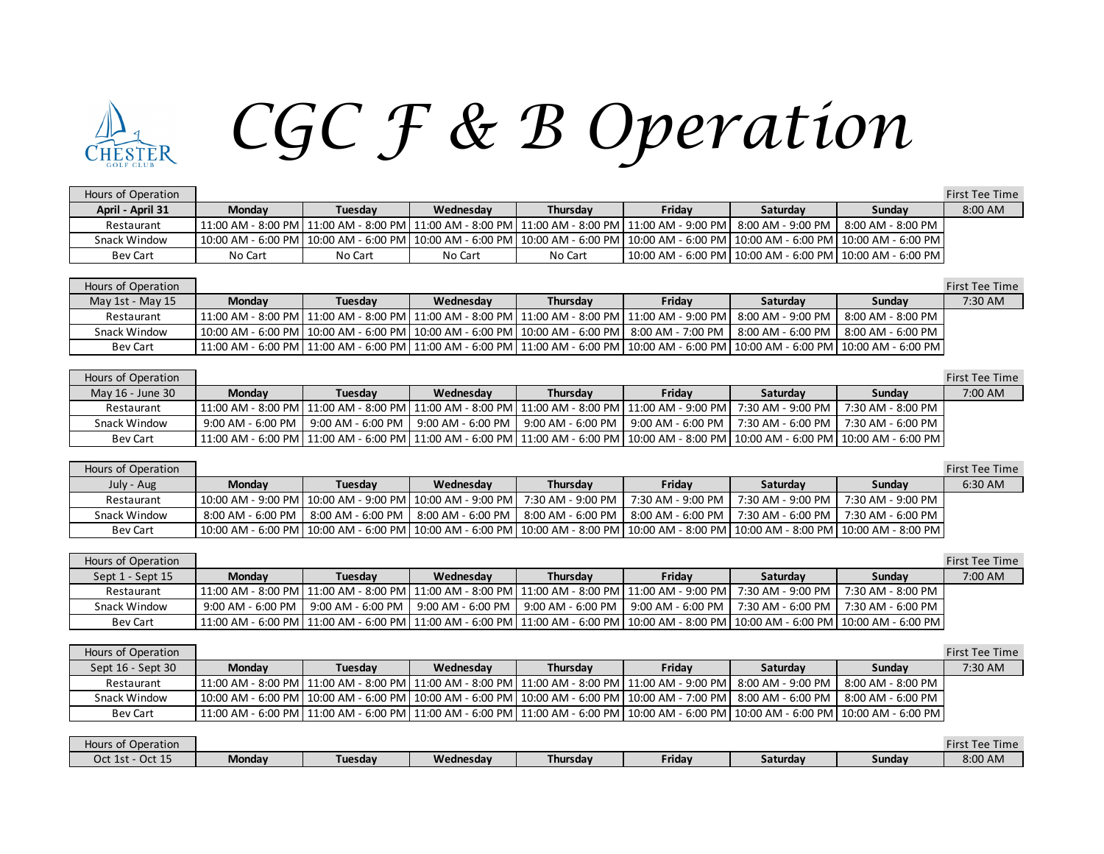## **HESTER**

## *CGC F & B Operation*

|               |         |           |                 |        |          |                                                                                                                            | First Tee Time                                                                                                                                                                                                         |
|---------------|---------|-----------|-----------------|--------|----------|----------------------------------------------------------------------------------------------------------------------------|------------------------------------------------------------------------------------------------------------------------------------------------------------------------------------------------------------------------|
| <b>Monday</b> | Tuesdav | Wednesdav | <b>Thursdav</b> | Fridav | Saturdav | Sundav                                                                                                                     | 8:00 AM                                                                                                                                                                                                                |
|               |         |           |                 |        |          | 8:00 AM - 8:00 PM                                                                                                          |                                                                                                                                                                                                                        |
|               |         |           |                 |        |          |                                                                                                                            |                                                                                                                                                                                                                        |
| No Cart       | No Cart | No Cart   | No Cart         |        |          |                                                                                                                            |                                                                                                                                                                                                                        |
|               |         |           |                 |        |          | 11:00 AM - 8:00 PM   11:00 AM - 8:00 PM   11:00 AM - 8:00 PM   11:00 AM - 8:00 PM   11:00 AM - 9:00 PM   8:00 AM - 9:00 PM | l 10:00 AM - 6:00 PM l 10:00 AM - 6:00 PM l 10:00 AM - 6:00 PM l 10:00 AM - 6:00 PM l 10:00 AM - 6:00 PM l 10:00 AM - 6:00 PM l 10:00 AM - 6:00 PM l<br>  10:00 AM - 6:00 PM   10:00 AM - 6:00 PM   10:00 AM - 6:00 PM |

## Hours of Operation First Tee Time May 1st - May 15 **Monday Tuesday Wednesday Thursday Friday Saturday Sunday** 7:30 AM Restaurant 11:00 AM - 8:00 PM 11:00 AM - 8:00 PM 11:00 AM - 8:00 PM 11:00 AM - 8:00 PM 11:00 AM - 9:00 PM 8:00 PM 8:00 PM 8:00 AM - 8:00 PM Snack Window | 10:00 AM - 6:00 PM | 10:00 AM - 6:00 PM | 10:00 AM - 6:00 PM | 10:00 AM - 6:00 PM | 8:00 AM - 7:00 PM | 8:00 AM - 6:00 PM | 8:00 AM - 6:00 PM | 8:00 AM - 6:00 PM Bev Cart 11:00 AM - 6:00 PM 11:00 AM - 6:00 PM 11:00 AM - 6:00 PM 11:00 AM - 6:00 PM 10:00 AM - 6:00 PM 10:00 AM - 6:00 PM 10:00 AM - 6:00 PM

| Hours of Operation |               |         |           |          |                                                                                                                                                  |                                       |                   | <b>First Tee Time</b> |
|--------------------|---------------|---------|-----------|----------|--------------------------------------------------------------------------------------------------------------------------------------------------|---------------------------------------|-------------------|-----------------------|
| May 16 - June 30   | <b>Monday</b> | Tuesdav | Wednesday | Thursday | Friday                                                                                                                                           | Saturdav                              | Sundav            | 7:00 AM               |
| Restaurant         |               |         |           |          | 11:00 AM − 8:00 PM   11:00 AM − 8:00 PM   11:00 AM − 8:00 PM   11:00 AM − 8:00 PM   11:00 AM − 9:00 PM                                           | 7:30 AM - 9:00 PM                     | 7:30 AM - 8:00 PM |                       |
| Snack Window       |               |         |           |          | .9:00 AM - 6:00 PM   9:00 AM - 6:00 PM   9:00 AM - 6:00 PM   9:00 AM - 6:00 PM   9:00 AM - 6:00 PM                                               | 7:30 AM - 6:00 PM   7:30 AM - 6:00 PM |                   |                       |
| <b>Bev Cart</b>    |               |         |           |          | 11:00 AM - 6:00 PM   11:00 AM - 6:00 PM   11:00 AM - 6:00 PM   11:00 AM - 6:00 PM   10:00 AM - 8:00 PM   10:00 AM - 6:00 PM   10:00 AM - 6:00 PM |                                       |                   |                       |

| Hours of Operation |                                                                                                                                            |         |                                                                                   |                 |                   |                   |                   | First Tee Time |
|--------------------|--------------------------------------------------------------------------------------------------------------------------------------------|---------|-----------------------------------------------------------------------------------|-----------------|-------------------|-------------------|-------------------|----------------|
| July - Aug         | <b>Monday</b>                                                                                                                              | Tuesdav | Wednesdav                                                                         | <b>Thursday</b> | Fridav            | <b>Saturdav</b>   | Sundav            | 6:30 AM        |
| Restaurant         | 10:00 AM - 9:00 PM   10:00 AM - 9:00 PM   10:00 AM - 9:00 PM   7:30 AM - 9:00 PM                                                           |         |                                                                                   |                 | 7:30 AM - 9:00 PM | 7:30 AM - 9:00 PM | 7:30 AM - 9:00 PM |                |
| Snack Window       | $8:00$ AM - 6:00 PM                                                                                                                        |         | 8:00 AM - 6:00 PM   8:00 AM - 6:00 PM   8:00 AM - 6:00 PM   8:00 AM - 6:00 PM   1 |                 |                   | 7:30 AM - 6:00 PM | 7:30 AM - 6:00 PM |                |
| <b>Bev Cart</b>    | 10:00 AM - 6:00 PM  10:00 AM - 6:00 PM  10:00 AM - 6:00 PM  10:00 AM - 8:00 PM  10:00 AM - 8:00 PM  10:00 AM - 8:00 PM  10:00 AM - 8:00 PM |         |                                                                                   |                 |                   |                   |                   |                |

| Hours of Operation |                   |                                                                                                                                                                       |                     |          |                                                           |                 |                   | First Tee Time |
|--------------------|-------------------|-----------------------------------------------------------------------------------------------------------------------------------------------------------------------|---------------------|----------|-----------------------------------------------------------|-----------------|-------------------|----------------|
| Sept 1 - Sept 15   | <b>Monday</b>     | Tuesdav                                                                                                                                                               | Wednesdav           | Thursdav | Fridav                                                    | <b>Saturday</b> | Sundav            | 7:00 AM        |
| Restaurant         |                   | 11:00 AM - 8:00 PM  11:00 AM - 8:00 PM  11:00 AM - 8:00 PM  11:00 AM - 8:00 PM  11:00 AM - 9:00 PM  7:30 AM - 9:00 PM                                                 |                     |          |                                                           |                 | 7:30 AM - 8:00 PM |                |
| Snack Window       | 9:00 AM - 6:00 PM | 9:00 AM - 6:00 PM                                                                                                                                                     | $9:00$ AM - 6:00 PM |          | 9:00 AM - 6:00 PM   9:00 AM - 6:00 PM   7:30 AM - 6:00 PM |                 | 7:30 AM - 6:00 PM |                |
| <b>Bev Cart</b>    |                   | 11:00 AM - 6:00 PM   11:00 AM - 6:00 PM   11:00 AM - 6:00 PM   11:00 AM - 6:00 PM   10:00 AM - 8:00 PM   10:00 AM - 6:00 PM   10:00 AM - 6:00 PM   10:00 AM - 6:00 PM |                     |          |                                                           |                 |                   |                |

| Hours of Operation |                                                                                                                                                  |         |           |          |        |          |                   | <b>First Tee Time</b> |
|--------------------|--------------------------------------------------------------------------------------------------------------------------------------------------|---------|-----------|----------|--------|----------|-------------------|-----------------------|
| Sept 16 - Sept 30  | <b>Monday</b>                                                                                                                                    | Tuesday | Wednesdav | Thursdav | Fridav | Saturday | Sundav            | 7:30 AM               |
| Restaurant         | 11:00 AM - 8:00 PM   11:00 AM - 8:00 PM   11:00 AM - 8:00 PM   11:00 AM - 8:00 PM   11:00 AM - 9:00 PM   8:00 AM - 9:00 PM                       |         |           |          |        |          | 8:00 AM - 8:00 PM |                       |
| Snack Window       | 10:00 AM - 6:00 PM  10:00 AM - 6:00 PM  10:00 AM - 6:00 PM  10:00 AM - 6:00 PM  10:00 AM - 7:00 PM  8:00 AM - 6:00 PM                            |         |           |          |        |          | 8:00 AM - 6:00 PM |                       |
| <b>Bev Cart</b>    | 11:00 AM - 6:00 PM   11:00 AM - 6:00 PM   11:00 AM - 6:00 PM   11:00 AM - 6:00 PM   10:00 AM - 6:00 PM   10:00 AM - 6:00 PM   10:00 AM - 6:00 PM |         |           |          |        |          |                   |                       |

| Hours of Operation    |               |         |           |                 |        |          |        | <b>First Tee Time</b> |
|-----------------------|---------------|---------|-----------|-----------------|--------|----------|--------|-----------------------|
| · Oct 15<br>Oct 1st - | <b>Monday</b> | Tuesdav | Wednesday | <b>Thursday</b> | Fridav | Saturdav | Sunday | 8:00 AM               |